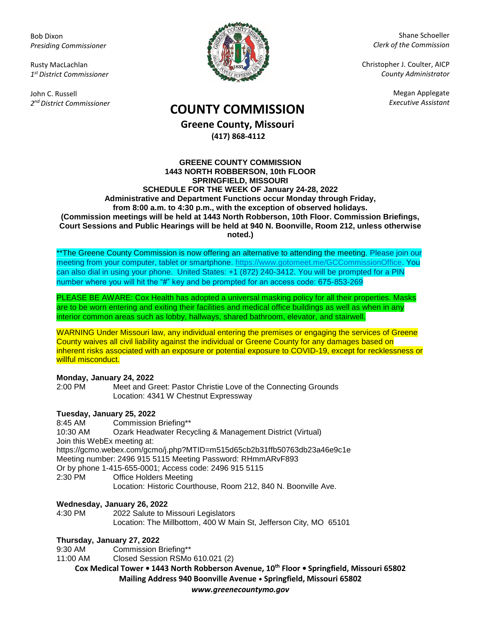Bob Dixon *Presiding Commissioner*

Rusty MacLachlan *1 st District Commissioner*

John C. Russell *2 nd District Commissioner*



Shane Schoeller *Clerk of the Commission*

Christopher J. Coulter, AICP *County Administrator*

Megan Applegate

# *Executive Assistant* **COUNTY COMMISSION**

**Greene County, Missouri (417) 868-4112**

#### **GREENE COUNTY COMMISSION 1443 NORTH ROBBERSON, 10th FLOOR SPRINGFIELD, MISSOURI SCHEDULE FOR THE WEEK OF January 24-28, 2022 Administrative and Department Functions occur Monday through Friday, from 8:00 a.m. to 4:30 p.m., with the exception of observed holidays. (Commission meetings will be held at 1443 North Robberson, 10th Floor. Commission Briefings, Court Sessions and Public Hearings will be held at 940 N. Boonville, Room 212, unless otherwise noted.)**

\*\*The Greene County Commission is now offering an alternative to attending the meeting. Please join our meeting from your computer, tablet or smartphone. [https://www.gotomeet.me/GCCommissionOffice.](https://www.gotomeet.me/GCCommissionOffice) You can also dial in using your phone. United States: +1 (872) 240-3412. You will be prompted for a PIN number where you will hit the "#" key and be prompted for an access code: 675-853-269

PLEASE BE AWARE: Cox Health has adopted a universal masking policy for all their properties. Masks are to be worn entering and exiting their facilities and medical office buildings as well as when in any interior common areas such as lobby, hallways, shared bathroom, elevator, and stairwell.

WARNING Under Missouri law, any individual entering the premises or engaging the services of Greene County waives all civil liability against the individual or Greene County for any damages based on inherent risks associated with an exposure or potential exposure to COVID-19, except for recklessness or willful misconduct.

### **Monday, January 24, 2022**

2:00 PM Meet and Greet: Pastor Christie Love of the Connecting Grounds Location: 4341 W Chestnut Expressway

## **Tuesday, January 25, 2022**

8:45 AM Commission Briefing\*\* 10:30 AM Ozark Headwater Recycling & Management District (Virtual) Join this WebEx meeting at: https://gcmo.webex.com/gcmo/j.php?MTID=m515d65cb2b31ffb50763db23a46e9c1e Meeting number: 2496 915 5115 Meeting Password: RHmmARvF893 Or by phone 1-415-655-0001; Access code: 2496 915 5115 2:30 PM Office Holders Meeting Location: Historic Courthouse, Room 212, 840 N. Boonville Ave.

## **Wednesday, January 26, 2022**

2022 Salute to Missouri Legislators Location: The Millbottom, 400 W Main St, Jefferson City, MO 65101

## **Thursday, January 27, 2022**

9:30 AM Commission Briefing\*\*

11:00 AM Closed Session RSMo 610.021 (2)

**Cox Medical Tower • 1443 North Robberson Avenue, 10th Floor • Springfield, Missouri 65802 Mailing Address 940 Boonville Avenue • Springfield, Missouri 65802**

*www.greenecountymo.gov*